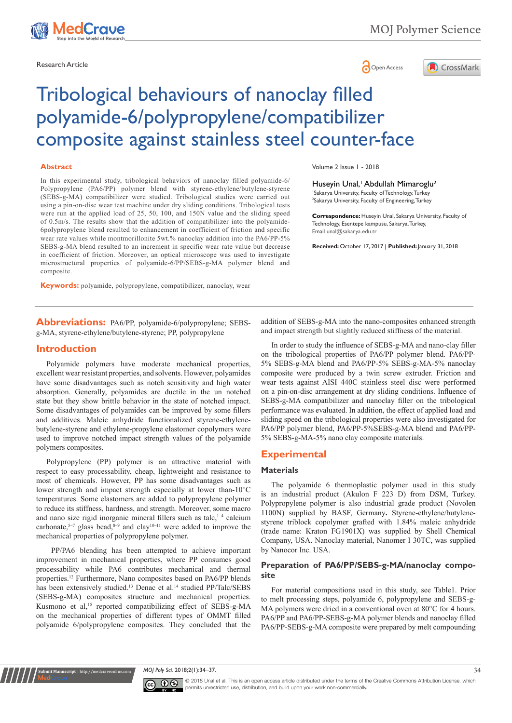

Research Article **Contracts and Contracts and Contracts and Contracts and Contracts and Contracts and Copen Access** 



# Tribological behaviours of nanoclay filled polyamide-6/polypropylene/compatibilizer composite against stainless steel counter-face

#### **Abstract**

In this experimental study, tribological behaviors of nanoclay filled polyamide-6/ Polypropylene (PA6/PP) polymer blend with styrene-ethylene/butylene-styrene (SEBS-g-MA) compatibilizer were studied. Tribological studies were carried out using a pin-on-disc wear test machine under dry sliding conditions. Tribological tests were run at the applied load of 25, 50, 100, and 150N value and the sliding speed of 0.5m/s. The results show that the addition of compatibilizer into the polyamide-6polypropylene blend resulted to enhancement in coefficient of friction and specific wear rate values while montmorillonite 5wt.% nanoclay addition into the PA6/PP-5% SEBS-g-MA blend resulted to an increment in specific wear rate value but decrease in coefficient of friction. Moreover, an optical microscope was used to investigate microstructural properties of polyamide-6/PP/SEBS-g-MA polymer blend and composite.

**Keywords:** polyamide, polypropylene, compatibilizer, nanoclay, wear

**Abbreviations:** PA6/PP, polyamide-6/polypropylene; SEBSg-MA, styrene-ethylene/butylene-styrene; PP, polypropylene

#### **Introduction**

Polyamide polymers have moderate mechanical properties, excellent wear resistant properties, and solvents. However, polyamides have some disadvantages such as notch sensitivity and high water absorption. Generally, polyamides are ductile in the un notched state but they show brittle behavior in the state of notched impact. Some disadvantages of polyamides can be improved by some fillers and additives. Maleic anhydride functionalized styrene-ethylenebutylene-styrene and ethylene-propylene elastomer copolymers were used to improve notched impact strength values of the polyamide polymers composites.

Polypropylene (PP) polymer is an attractive material with respect to easy processability, cheap, lightweight and resistance to most of chemicals. However, PP has some disadvantages such as lower strength and impact strength especially at lower than-10°C temperatures. Some elastomers are added to polypropylene polymer to reduce its stiffness, hardness, and strength. Moreover, some macro and nano size rigid inorganic mineral fillers such as talc, $1-4$  calcium carbonate,<sup>5–7</sup> glass bead, $8-9$  and clay<sup>10–11</sup> were added to improve the mechanical properties of polypropylene polymer.

 PP/PA6 blending has been attempted to achieve important improvement in mechanical properties, where PP consumes good processability while PA6 contributes mechanical and thermal properties.12 Furthermore, Nano composites based on PA6/PP blends has been extensively studied.<sup>13</sup> Denac et al.<sup>14</sup> studied PP/Talc/SEBS (SEBS-g-MA) composites structure and mechanical properties. Kusmono et al,<sup>15</sup> reported compatibilizing effect of SEBS-g-MA on the mechanical properties of different types of OMMT filled polyamide 6/polypropylene composites. They concluded that the

**Kubmit Manuscript** | http://medcraveonli

Volume 2 Issue 1 - 2018

Huseyin Unal,<sup>1</sup> Abdullah Mimaroglu<sup>2</sup> 1 Sakarya University, Faculty of Technology, Turkey 2 Sakarya University, Faculty of Engineering, Turkey

**Correspondence:** Huseyin Unal, Sakarya University, Faculty of Technology, Esentepe kampusu, Sakarya, Turkey, Email unal@sakarya.edu.tr

**Received:** October 17, 2017 | **Published:** January 31, 2018

addition of SEBS-g-MA into the nano-composites enhanced strength and impact strength but slightly reduced stiffness of the material.

In order to study the influence of SEBS-g-MA and nano-clay filler on the tribological properties of PA6/PP polymer blend. PA6/PP-5% SEBS-g-MA blend and PA6/PP-5% SEBS-g-MA-5% nanoclay composite were produced by a twin screw extruder. Friction and wear tests against AISI 440C stainless steel disc were performed on a pin-on-disc arrangement at dry sliding conditions. Influence of SEBS-g-MA compatibilizer and nanoclay filler on the tribological performance was evaluated. In addition, the effect of applied load and sliding speed on the tribological properties were also investigated for PA6/PP polymer blend, PA6/PP-5%SEBS-g-MA blend and PA6/PP-5% SEBS-g-MA-5% nano clay composite materials.

### **Experimental**

#### **Materials**

The polyamide 6 thermoplastic polymer used in this study is an industrial product (Akulon F 223 D) from DSM, Turkey. Polypropylene polymer is also industrial grade product (Novolen 1100N) supplied by BASF, Germany**.** Styrene-ethylene/butylenestyrene triblock copolymer grafted with 1.84% maleic anhydride (trade name: Kraton FG1901X) was supplied by Shell Chemical Company, USA. Nanoclay material, Nanomer I 30TC, was supplied by Nanocor Inc. USA.

#### **Preparation of PA6/PP/SEBS-g-MA/nanoclay composite**

For material compositions used in this study, see Table1. Prior to melt processing steps, polyamide 6, polypropylene and SEBS-g-MA polymers were dried in a conventional oven at 80°C for 4 hours. PA6/PP and PA6/PP-SEBS-g-MA polymer blends and nanoclay filled PA6/PP-SEBS-g-MA composite were prepared by melt compounding

*MOJ Poly Sci.* 2018;2(1):34‒37. 34



© 2018 Unal et al. This is an open access article distributed under the terms of the [Creative Commons Attribution License](https://creativecommons.org/licenses/by-nc/4.0/), which permits unrestricted use, distribution, and build upon your work non-commercially.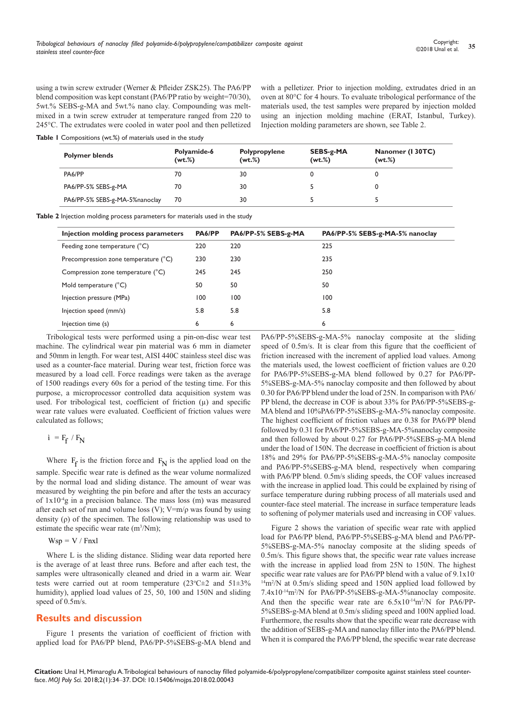using a twin screw extruder (Werner & Pfleider ZSK25). The PA6/PP blend composition was kept constant (PA6/PP ratio by weight=70/30), 5wt.% SEBS-g-MA and 5wt.% nano clay. Compounding was meltmixed in a twin screw extruder at temperature ranged from 220 to 245°C. The extrudates were cooled in water pool and then pelletized

**Table 1** Compositions (wt.%) of materials used in the study

**Polymer blends Polyamide-6 (wt.%) Polypropylene (wt.%) SEBS-g-MA (wt.%) Nanomer (I 30TC) (wt.%)** PA6/PP 70 30 0 0 PA6/PP-5% SEBS-g-MA 70 30 5 0 PA6/PP-5% SEBS-g-MA-5%nanoclay 70 30 5 5 5 5

**Table 2** Injection molding process parameters for materials used in the study

| Injection molding process parameters | PA6/PP | PA6/PP-5% SEBS-g-MA | PA6/PP-5% SEBS-g-MA-5% nanoclay |
|--------------------------------------|--------|---------------------|---------------------------------|
| Feeding zone temperature (°C)        | 220    | 220                 | 225                             |
| Precompression zone temperature (°C) | 230    | 230                 | 235                             |
| Compression zone temperature (°C)    | 245    | 245                 | 250                             |
| Mold temperature (°C)                | 50     | 50                  | 50                              |
| Injection pressure (MPa)             | 100    | 100                 | 100                             |
| Injection speed (mm/s)               | 5.8    | 5.8                 | 5.8                             |
| Injection time (s)                   | 6      | 6                   | 6                               |

Tribological tests were performed using a pin-on-disc wear test machine. The cylindrical wear pin material was 6 mm in diameter and 50mm in length. For wear test, AISI 440C stainless steel disc was used as a counter-face material. During wear test, friction force was measured by a load cell. Force readings were taken as the average of 1500 readings every 60s for a period of the testing time. For this purpose, a microprocessor controlled data acquisition system was used. For tribological test, coefficient of friction  $(\mu)$  and specific wear rate values were evaluated. Coefficient of friction values were calculated as follows;

```
i = F_f / F_N
```
Where  $F_f$  is the friction force and  $F_N$  is the applied load on the sample. Specific wear rate is defined as the wear volume normalized by the normal load and sliding distance. The amount of wear was measured by weighting the pin before and after the tests an accuracy of 1x10-4g in a precision balance. The mass loss (m) was measured after each set of run and volume loss (V);  $V=m/\rho$  was found by using density (ρ) of the specimen. The following relationship was used to estimate the specific wear rate  $(m^3/Nm)$ ;

 $Wsp = V / Fnxl$ 

Where L is the sliding distance. Sliding wear data reported here is the average of at least three runs. Before and after each test, the samples were ultrasonically cleaned and dried in a warm air. Wear tests were carried out at room temperature  $(23^{\circ}C \pm 2$  and  $51 \pm 3\%$ humidity), applied load values of 25, 50, 100 and 150N and sliding speed of 0.5m/s.

### **Results and discussion**

Figure 1 presents the variation of coefficient of friction with applied load for PA6/PP blend, PA6/PP-5%SEBS-g-MA blend and PA6/PP-5%SEBS-g-MA-5% nanoclay composite at the sliding speed of 0.5m/s. It is clear from this figure that the coefficient of friction increased with the increment of applied load values. Among the materials used, the lowest coefficient of friction values are 0.20 for PA6/PP-5%SEBS-g-MA blend followed by 0.27 for PA6/PP-5%SEBS-g-MA-5% nanoclay composite and then followed by about 0.30 for PA6/PP blend under the load of 25N. In comparison with PA6/ PP blend, the decrease in COF is about 33% for PA6/PP-5%SEBS-g-MA blend and 10%PA6/PP-5%SEBS-g-MA-5% nanoclay composite. The highest coefficient of friction values are 0.38 for PA6/PP blend followed by 0.31 for PA6/PP-5%SEBS-g-MA-5%nanoclay composite and then followed by about 0.27 for PA6/PP-5%SEBS-g-MA blend under the load of 150N. The decrease in coefficient of friction is about 18% and 29% for PA6/PP-5%SEBS-g-MA-5% nanoclay composite and PA6/PP-5%SEBS-g-MA blend, respectively when comparing with PA6/PP blend. 0.5m/s sliding speeds, the COF values increased with the increase in applied load. This could be explained by rising of surface temperature during rubbing process of all materials used and counter-face steel material. The increase in surface temperature leads to softening of polymer materials used and increasing in COF values.

with a pelletizer. Prior to injection molding, extrudates dried in an oven at 80°C for 4 hours. To evaluate tribological performance of the materials used, the test samples were prepared by injection molded using an injection molding machine (ERAT, Istanbul, Turkey).

Injection molding parameters are shown, see Table 2.

Figure 2 shows the variation of specific wear rate with applied load for PA6/PP blend, PA6/PP-5%SEBS-g-MA blend and PA6/PP-5%SEBS-g-MA-5% nanoclay composite at the sliding speeds of 0.5m/s. This figure shows that, the specific wear rate values increase with the increase in applied load from 25N to 150N. The highest specific wear rate values are for PA6/PP blend with a value of 9.1x10-  $14m^2/N$  at 0.5m/s sliding speed and 150N applied load followed by 7.4x10-14m2 /N for PA6/PP-5%SEBS-g-MA-5%nanoclay composite. And then the specific wear rate are  $6.5x10^{-14}$ m<sup>2</sup>/N for PA6/PP-5%SEBS-g-MA blend at 0.5m/s sliding speed and 100N applied load. Furthermore, the results show that the specific wear rate decrease with the addition of SEBS-g-MA and nanoclay filler into the PA6/PP blend. When it is compared the PA6/PP blend, the specific wear rate decrease

**Citation:** Unal H, Mimaroglu A. Tribological behaviours of nanoclay filled polyamide-6/polypropylene/compatibilizer composite against stainless steel counterface. *MOJ Poly Sci.* 2018;2(1):34‒37. DOI: [10.15406/mojps.2018.02.00043](https://doi.org/10.15406/mojps.2018.02.00043)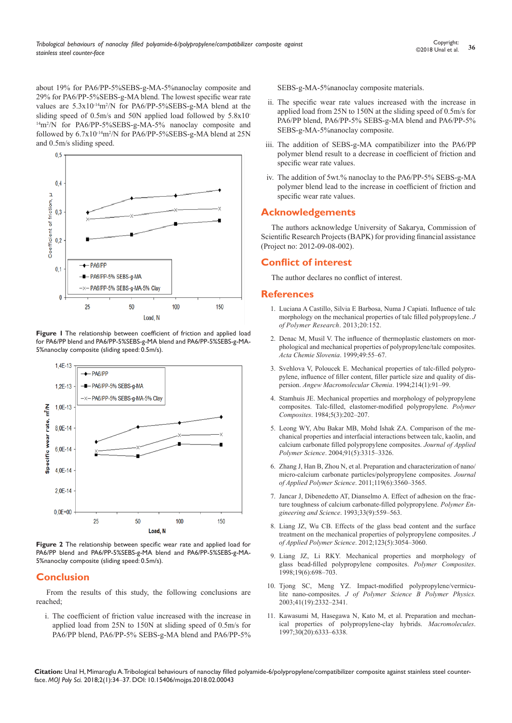about 19% for PA6/PP-5%SEBS-g-MA-5%nanoclay composite and 29% for PA6/PP-5%SEBS-g-MA blend. The lowest specific wear rate values are  $5.3x10^{-14}m^2/N$  for PA6/PP-5%SEBS-g-MA blend at the sliding speed of 0.5m/s and 50N applied load followed by 5.8x10- <sup>14</sup>m<sup>2</sup>/N for PA6/PP-5%SEBS-g-MA-5% nanoclay composite and followed by  $6.7x10^{-14}m^2/N$  for PA6/PP-5%SEBS-g-MA blend at 25N and 0.5m/s sliding speed.



**Figure 1** The relationship between coefficient of friction and applied load for PA6/PP blend and PA6/PP-5%SEBS-g-MA blend and PA6/PP-5%SEBS-g-MA-5%nanoclay composite (sliding speed: 0.5m/s).



**Figure 2** The relationship between specific wear rate and applied load for PA6/PP blend and PA6/PP-5%SEBS-g-MA blend and PA6/PP-5%SEBS-g-MA-5%nanoclay composite (sliding speed: 0.5m/s).

# **Conclusion**

From the results of this study, the following conclusions are reached;

i. The coefficient of friction value increased with the increase in applied load from 25N to 150N at sliding speed of 0.5m/s for PA6/PP blend, PA6/PP-5% SEBS-g-MA blend and PA6/PP-5%

SEBS-g-MA-5%nanoclay composite materials.

- ii. The specific wear rate values increased with the increase in applied load from 25N to 150N at the sliding speed of 0.5m/s for PA6/PP blend, PA6/PP-5% SEBS-g-MA blend and PA6/PP-5% SEBS-g-MA-5%nanoclay composite.
- iii. The addition of SEBS-g-MA compatibilizer into the PA6/PP polymer blend result to a decrease in coefficient of friction and specific wear rate values.
- iv. The addition of 5wt.% nanoclay to the PA6/PP-5% SEBS-g-MA polymer blend lead to the increase in coefficient of friction and specific wear rate values.

### **Acknowledgements**

The authors acknowledge University of Sakarya, Commission of Scientific Research Projects (BAPK) for providing financial assistance (Project no: 2012-09-08-002).

# **Conflict of interest**

The author declares no conflict of interest.

### **References**

- 1. Luciana A Castillo, Silvia E Barbosa, Numa J [Capiati. Influence of talc](https://link.springer.com/article/10.1007/s10965-013-0152-2)  [morphology on the mechanical properties of talc filled polypropylene.](https://link.springer.com/article/10.1007/s10965-013-0152-2) *J [of Polymer Research](https://link.springer.com/article/10.1007/s10965-013-0152-2)*. 2013;20:152.
- 2. [Denac M, Musil V. The influence of thermoplastic elastomers on mor](https://dk.um.si/IzpisGradiva.php?id=53246&lang=eng)[phological and mechanical properties of polypropylene/talc composites.](https://dk.um.si/IzpisGradiva.php?id=53246&lang=eng)  *[Acta Chemie Slovenia](https://dk.um.si/IzpisGradiva.php?id=53246&lang=eng)*. 1999;49:55–67.
- 3. [Svehlova V, Poloucek E. Mechanical properties of talc-filled polypro](http://onlinelibrary.wiley.com/doi/10.1002/apmc.1994.052140109/abstract)[pylene, influence of filler content, filler particle size and quality of dis](http://onlinelibrary.wiley.com/doi/10.1002/apmc.1994.052140109/abstract)persion. *[Angew Macromolecular Chemia](http://onlinelibrary.wiley.com/doi/10.1002/apmc.1994.052140109/abstract)*. 1994;214(1):91–99.
- 4. [Stamhuis JE. Mechanical properties and morphology of polypropylene](http://onlinelibrary.wiley.com/doi/10.1002/pc.750050308/abstract?systemMessage=Please+be+advised+that+we+experienced+an+unexpected+issue+that+occurred+on+Saturday+and+Sunday+January+20th+and+21st+that+caused+the+site+to+be+down+for+an+extended+period+of+ti)  [composites. Talc-filled, elastomer-modified polypropylene.](http://onlinelibrary.wiley.com/doi/10.1002/pc.750050308/abstract?systemMessage=Please+be+advised+that+we+experienced+an+unexpected+issue+that+occurred+on+Saturday+and+Sunday+January+20th+and+21st+that+caused+the+site+to+be+down+for+an+extended+period+of+ti) *Polymer Composites*[. 1984;5\(3\):202–207.](http://onlinelibrary.wiley.com/doi/10.1002/pc.750050308/abstract?systemMessage=Please+be+advised+that+we+experienced+an+unexpected+issue+that+occurred+on+Saturday+and+Sunday+January+20th+and+21st+that+caused+the+site+to+be+down+for+an+extended+period+of+ti)
- 5. [Leong WY, Abu Bakar MB, Mohd Ishak ZA. Comparison of the me](http://onlinelibrary.wiley.com/doi/10.1002/app.13542/abstract)[chanical properties and interfacial interactions between talc, kaolin, and](http://onlinelibrary.wiley.com/doi/10.1002/app.13542/abstract)  [calcium carbonate filled polypropylene composites.](http://onlinelibrary.wiley.com/doi/10.1002/app.13542/abstract) *Journal of Applied Polymer Science*[. 2004;91\(5\):3315–3326.](http://onlinelibrary.wiley.com/doi/10.1002/app.13542/abstract)
- 6. [Zhang J, Han B, Zhou N, et al. Preparation and characterization of nano/](http://onlinelibrary.wiley.com/doi/10.1002/app.33037/abstract)  [micro-calcium carbonate particles/polypropylene composites.](http://onlinelibrary.wiley.com/doi/10.1002/app.33037/abstract) *Journal [of Applied Polymer Science](http://onlinelibrary.wiley.com/doi/10.1002/app.33037/abstract)*. 2011;119(6):3560–3565.
- 7. [Jancar J, Dibenedetto AT, Dianselmo A. Effect of adhesion on the frac](http://onlinelibrary.wiley.com/doi/10.1002/pen.760330908/abstract)[ture toughness of calcium carbonate-filled polypropylene.](http://onlinelibrary.wiley.com/doi/10.1002/pen.760330908/abstract) *Polymer Engineering and Science*[. 1993;33\(9\):559–563.](http://onlinelibrary.wiley.com/doi/10.1002/pen.760330908/abstract)
- 8. [Liang JZ, Wu CB. Effects of the glass bead content and the surface](http://onlinelibrary.wiley.com/doi/10.1002/app.34850/abstract)  [treatment on the mechanical properties of polypropylene composites.](http://onlinelibrary.wiley.com/doi/10.1002/app.34850/abstract) *J [of Applied Polymer Science](http://onlinelibrary.wiley.com/doi/10.1002/app.34850/abstract)*. 2012;123(5):3054–3060.
- 9. [Liang JZ, Li RKY. Mechanical properties and morphology of](http://onlinelibrary.wiley.com/doi/10.1002/pc.10142/abstract?systemMessage=Please+be+advised+that+we+experienced+an+unexpected+issue+that+occurred+on+Saturday+and+Sunday+January+20th+and+21st+that+caused+the+site+to+be+down+for+an+extended+period+of+time+a)  [glass bead-filled polypropylene composites.](http://onlinelibrary.wiley.com/doi/10.1002/pc.10142/abstract?systemMessage=Please+be+advised+that+we+experienced+an+unexpected+issue+that+occurred+on+Saturday+and+Sunday+January+20th+and+21st+that+caused+the+site+to+be+down+for+an+extended+period+of+time+a) *Polymer Composites*. [1998;19\(6\):698–703.](http://onlinelibrary.wiley.com/doi/10.1002/pc.10142/abstract?systemMessage=Please+be+advised+that+we+experienced+an+unexpected+issue+that+occurred+on+Saturday+and+Sunday+January+20th+and+21st+that+caused+the+site+to+be+down+for+an+extended+period+of+time+a)
- 10. [Tjong SC, Meng YZ. Impact-modified polypropylene/vermicu](http://onlinelibrary.wiley.com/doi/10.1002/polb.10587/abstract)lite nano-composites. *[J of Polymer Science B Polymer Physics.](http://onlinelibrary.wiley.com/doi/10.1002/polb.10587/abstract)* [2003;41\(19\):2332–2341.](http://onlinelibrary.wiley.com/doi/10.1002/polb.10587/abstract)
- 11. [Kawasumi M, Hasegawa N, Kato M, et al. Preparation and mechan](http://pubs.acs.org/doi/abs/10.1021/ma961786h)[ical properties of polypropylene-clay hybrids.](http://pubs.acs.org/doi/abs/10.1021/ma961786h) *Macromolecules*. [1997;30\(20\):6333–6338.](http://pubs.acs.org/doi/abs/10.1021/ma961786h)

**Citation:** Unal H, Mimaroglu A. Tribological behaviours of nanoclay filled polyamide-6/polypropylene/compatibilizer composite against stainless steel counterface. *MOJ Poly Sci.* 2018;2(1):34‒37. DOI: [10.15406/mojps.2018.02.00043](https://doi.org/10.15406/mojps.2018.02.00043)